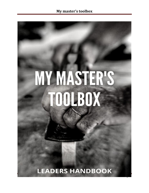# **MY MASTER'S TOOLBOX**

**LEADERS HANDBOOK** 

Page 1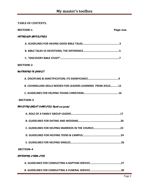# **TABLE OF CONTENTS.**

| <b>SECTION-1</b><br>Page nos.                                  |         |  |  |  |
|----------------------------------------------------------------|---------|--|--|--|
| OUTREACH GUIDELIMES                                            |         |  |  |  |
|                                                                |         |  |  |  |
|                                                                |         |  |  |  |
|                                                                |         |  |  |  |
| <b>SECTION-2</b>                                               |         |  |  |  |
| MATURING IN CHRIST                                             |         |  |  |  |
|                                                                |         |  |  |  |
| B. COUNSELLING SKILLS NEEDED FOR LEADERS-LEARNING FROM JESUS12 |         |  |  |  |
|                                                                |         |  |  |  |
| <b>SECTION-3</b>                                               |         |  |  |  |
| BUILD TNG GREAT FAMILIES (Usuth and family)                    |         |  |  |  |
|                                                                |         |  |  |  |
|                                                                |         |  |  |  |
|                                                                |         |  |  |  |
|                                                                |         |  |  |  |
|                                                                |         |  |  |  |
| <b>SECTION-4</b>                                               |         |  |  |  |
| ENTERMG A NEW LIFE                                             |         |  |  |  |
|                                                                |         |  |  |  |
|                                                                |         |  |  |  |
|                                                                | $D_{2}$ |  |  |  |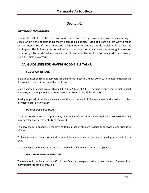# **Section-1**

# *OUTREACH GUIDELINES*

Jesus called all of us to be fishers of men. There is no other joy like seeing lost people coming to Jesus. And it's the noblest thing that we can do as disciples. Bible talks are a great way to reach out to people. But it's very important to know how to prepare and do a bible talk to have the full impact. The following section will take us through the details. Also, there are guidelines on "Discovery bible study" which is a very simple and effective method to do a study on a passage from the bible as a group.

# **1A. GUIDELINES FOR HAVING GOOD BIBLE TALKS.**

#### **SIZE OF A BIBLE TALK**

Bible talks must be small in numbers for them to be impactful. About 10 to 12 in number including the disciples. [If more visitors come that is ok too!]

Jesus operated in small groups (Mark 3:13-19, 6:7, 6:30, 9:2-13). The first-century church met in small numbers, just enough to fit in a home (Acts 4:46, Rom 16:4-5, Philemon 1:2)

Small groups help to make personal connections and make inclusiveness easier in discussions and less intimidating for a new visitor.

#### **PURPOSE OF BIBLE TALKS**

To discuss God's word and its practicality in everyday life and draw them into the discussion so that they may develop an interest in studying the word.

To allow them to experience the love of Jesus in action through hospitality fellowship and friendship offered.

To have maximum impact on a visitor in an informal and relaxed setting to develop a desire to know God.

To make a personal connection and get to know their life so it's easier to set up studies.

#### **HOW TO PREPARE A BIBLE TALK**

The talk should not be more than 30 minutes. Select a passage and stick to that one text. The use of too many scriptures can be confusing.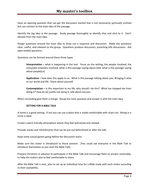Have an opening question that can get the discussion started that is not necessarily spiritually inclined but can connect to the main idea of the passage.

Identify the big idea in the passage. Study passage thoroughly to identify that and stick to it. Don't deviate from the main idea.

Design questions around the main idea to draw out a response and discussion. Make the questions clear, useful, and relevant to the group. Questions produce discussion, preaching kills discussions. Ask open-ended questions.

Questions can be formed around these three types

**Interpretation –** what is happening in the text. Focus on the setting, the people involved, the story/plot emotions involved, what is this passage saying about God, what is this passage saying about people[us]

**Application –** how does this apply to us. What is this passage talking about you, Bringing it alive to our world and life. Share about yourself.

**Contemplation –** Is this important to my life, why should I do this? What has stopped me from doing it? How do we justify not doing it, talk about excuses.

When concluding give them a charge. Recap the main question and answer it with the main idea.

#### **SETTING FOR A BIBLE TALK**

A home is a good setting. If not you can use a place that is made comfortable with chairs etc. Sitting in a circle is ideal.

Create a warm friendly atmosphere where they feel welcomed and relaxed.

Provide snacks and refreshments that can be put out beforehand or after the talk.

Keep some casual games going before the discussion starts.

Make sure the visitor is introduced to those present. [You could ask everyone in the Bible Talk to introduce themselves as you start the Bible Talk]

Prepare Christians in advance to participate in the Bible Talk and encourage them to answer vulnerably, to help the visitors also to feel comfortable to share.

After the Bible Talk is over, plan to set up an individual time for a Bible study with each visitor according to their availability.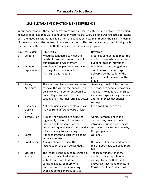# **1B.BIBLE TALKS VS DEVOTIONS; THE DIFFERENCE**

In our congregation, these two terms were widely used to differentiate between two unique midweek meetings that were conducted in yesteryears. Every disciple was expected to attend both the meetings without fail apart from the Sunday service. Even though the English meaning of these words and the context of how we use them differs to some extent, the following table gives certain differences of both, the way it is used in our congregation.

| No.            | <b>Particulars</b> | <b>Bible Talks</b>                       | <b>Devotions</b>                   |
|----------------|--------------------|------------------------------------------|------------------------------------|
| $\mathbf{1}$   | Definition         | Meetings conducted to meet the           | Meetings conducted to meet the     |
|                |                    | needs of those who are not part of       | needs of those who are part of     |
|                |                    | our congregation/movement                | our congregation/movement          |
| $\overline{2}$ | <b>Members</b>     | Members / Disciples are encouraged       | Members are encouraged to get      |
|                | Expectation        | to bring at least one new friend         | direction from the message         |
|                |                    | (visitor) to this meeting                | delivered by the leader of the     |
|                |                    |                                          | group to meet the needs of the     |
|                |                    |                                          | group                              |
| $\overline{3}$ | Place /            | Place and ambiance must be chosen        | Generally, the disciples' houses   |
|                | Ambience           | to make the visitors feel special. Can   | are chosen to conduct devotions.   |
|                |                    | be anywhere indoor or outdoors like      | The goal is to edify relationships |
|                |                    | on a college campus Circular             | and encourage learning from one    |
|                |                    | seating or an informal setting is better | another in these devotional        |
|                |                    |                                          | settings.                          |
| 4              | Opening /          | Not necessary as the people who visit    | It is a good practice to do.       |
|                | Closing            | may be from different walks of faith.    |                                    |
|                | Prayer             |                                          |                                    |
| 5              | Introduction       | As many new people are expected, it      | As most of them know one           |
|                |                    | is generally started with everyone       | another, any new person is         |
|                |                    | introducing their name, job, and         | introduced during a good news      |
|                |                    | answer to a question which the leader    | session or the welcome done by     |
|                |                    | asks pertaining to his sharing.          | the group member.                  |
| 6              | Game               | It is encouraged to start with a game    | Optional.                          |
|                |                    | as an ice breaker                        |                                    |
| $\overline{7}$ | Good news          | As a question is asked in the            | Optional but encouraged to have    |
|                |                    | introduction, this can be avoided        | this as good news can build more   |
|                |                    |                                          | faith.                             |
| 8              | Message /          | The leader keeps in mind to engage all   | The leader understands the         |
|                | Sharing            | to participate and ask different         | needs of the group, chooses a      |
|                |                    | suitable questions to draw his           | passage from the Bible, and        |
|                |                    | concluding idea. So more of a            | encourages everyone to imitate     |
|                |                    | question and response meeting            | Christ and follow God's word.      |
|                |                    | choosing some generally easy to          |                                    |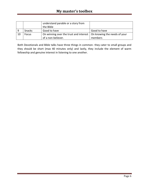|    |              | understand parable or a story from                                    |              |
|----|--------------|-----------------------------------------------------------------------|--------------|
|    |              | the Bible                                                             |              |
|    | Snacks       | Good to have                                                          | Good to have |
| 10 | <b>Focus</b> | On winning over the trust and interest   On knowing the needs of your |              |
|    |              | of a non-believer.                                                    | members      |

Both Devotionals and Bible talks have three things in common- they cater to small groups and they should be short (max 40 minutes only) and lastly, they include the element of warm fellowship and genuine interest in listening to one another.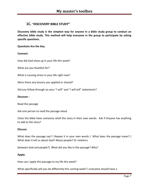# **1C. "DISCOVERY BIBLE STUDY"**

**Discovery bible study is the simplest way for anyone in a bible study group to conduct an effective bible study. This method will help everyone in the group to participate by asking specific questions.**

**Questions Are the Key.**

#### **Connect:**

How did God show up in your life this week?

What are you thankful for?

What is causing stress in your life right now?

Were there any lessons you applied or shared?

Did you follow through on your "I will" and "I will tell" statements?

#### **Discover :**

Read the passage

Ask one person to read the passage aloud

Close the bible Have someone retell the story in their own words. Ask if Anyone has anything to add to the story?

#### **Discuss:**

What does the passage say? ( Repeat it in your own words ) What does the passage mean? ( What does it tell us about God? About people? Or relations

between God and people?) What did you like in the passage? Why?

#### **Apply:**

How can I apply this passage to my life this week?

What specifically will you do differently this coming week? ( everyone should have a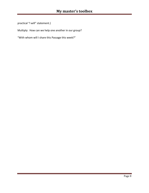practical "I will" statement.)

Multiply: How can we help one another in our group?

"With whom will I share this Passage this week?"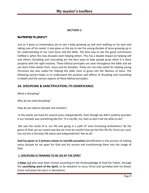# **SECTION-2**

# *MATURING IN CHRIST*

Just as it gives us tremendous joy to see a baby growing up and start walking on his own and taking care of his needs, it also gives us the joy to see the young disciple of Jesus growing up in his understanding of our Lord Jesus and the bible. The best way to see the great commission fulfilled is when the new disciples start helping others. This has a double impact on helping self and others. Discipling and counseling are the best ways to help people grow when it is done properly with the right motives. These biblical principles are seen throughout the bible and we can learn them better from Jesus and his disciples. These are not only useful for helping young Christians but also useful for helping the older ones to grow into the likeness of Jesus. The following section helps us to understand the purpose and effects of discipling and counseling in-depth and the various aspects of these biblical principles.

# **2A. DISCIPLING & SANCTIFICATION; ITS SIGNIFICANCE.**

What is discipling?

Why do we need discipling?

How do we need to disciple one another?

In the world, we lived for several years independently. Even though we didn't publicly proclaim it our mindset was something like this "It is my life, my rules so don't tell me what to do!"

We saw the result of it, our life was going in a path of 'ever-increasing wickedness'! By the grace of God, we are saved now but we must be careful how we live this life for Christ our Lord. Can we live a Christian life alone and independently? Not at all!

**God has given us 3 primary means to sanctify ourselves.**Sanctification is the process of making every disciple be set apart for God and His service and transforming them into the image of God.

## **1. DISCIPLING IS TRAINING TO BE LED BY THE SPIRIT**

**1 Peter 1:2** who have been chosen according to the foreknowledge of God the Father, through the **sanctifying work of the Spirit**, to be obedient to Jesus Christ and sprinkled with his blood: Grace and peace be yours in abundance.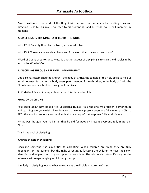**Sanctification** - is the work of the Holy Spirit. He does that in person by dwelling in us and directing us daily. Our role is to listen to his promptings and surrender to His will moment by moment.

# **2. DISCIPLING IS TRAINING TO BE LED BY THE WORD**

John 17:17 Sanctify them by the truth; your word is truth.

John 15:3 "Already you are clean because of the word that I have spoken to you"

Word of God is used to sanctify us. So another aspect of discipling is to train the disciples to be led by the Word of God.

## **3. DISCIPLING THROUGH PERSONAL INVOLVEMENT**

God also has established the Church - the body of Christ, the temple of the Holy Spirit to help us in this journey. Just as in the body every part is needed for each other, in the body of Chris, the Church, we need each other throughout our lives.

So Christian life is not independent but an interdependent life.

## **GOAL OF DISCIPLING**

Paul spoke about how he did it in Colossians 1:28,29 He is the one we proclaim, admonishing and teaching everyone with all wisdom, so that we may present everyone fully mature in Christ. 29To this end I strenuously contend with all the energy Christ so powerfully works in me.

What was the goal Paul had in all that he did for people? Present everyone fully mature in Christ!

This is the goal of discipling.

## **Change of Role in Discipling**

Discipling someone has similarities to parenting. When children are small they are fully dependant on the parents, but the right parenting is focusing the children to have their own identities and helping them to grow up as mature adults. The relationship stays life long but the influence will keep changing as children grow up.

Similarly in discipling, our role has to evolve as the disciple matures in Christ.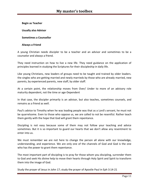**Begin as Teacher**

**Usually also Advisor**

**Sometimes a Counsellor**

#### **Always a Friend**

A young Christian needs discipler to be a teacher and an advisor and sometimes to be a counselor and always a friend.

They need instruction on how to live a new life. They need guidance on the application of principles learned in studying the Scriptures for their discipleship in daily life.

Like young Christians, new leaders of groups need to be taught and trained by older leaders. the singles who are getting married and newly marrieds by those who are already married, new parents, by experienced parents, new staff, by older staff.

At a certain point, the relationship moves from Over/ Under to more of an advisory role maturity dependent, not the time or age-Dependent

In that case, the discipler primarily is an advisor, but also teaches, sometimes counsels, and remains as a friend as well.

Paul's advice to Timothy when he was leading people was that as a Lord's servant, he must not be quarrelsome. Even to those who oppose us, we are called to not be resentful. Rather teach them gently with the hope that God will grant them repentance.

Discipling is not easy because some of them may not follow your teaching and advice sometimes. But it is so important to guard our hearts that we don't allow any resentment to enter into us.

We must remember we are not here to change the person all alone with our knowledge, understanding, and experience. We are only one of the channels of God and God is the one who has the power to grant them repentance.

The most important part of discipling is to pray for those whom you discipling, surrender them to God and seek His divine help to move their hearts through Holy Spirit and Spirit to transform them into the image of God.

Study the prayer of Jesus in John 17; study the prayer of Apostle Paul in Eph 3:14-21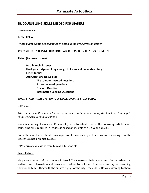# **2B**. **COUNSELLING SKILLS NEEDED FOR LEADERS**

*LEARNING FROM JESUS*

#### IN NUTSHELL

*(These bullet points are explained in detail in the article/lesson below)*

#### **COUNSELLING SKILLS NEEDED FOR LEADERS BASED ON LESSONS FROM JESU**

**Listen (As Jesus Listens)**

**Be a humble listener Hold your judgment long enough to listen and understand fully Listen for lies Ask Questions (Jesus did) The solution-focused question. Future-focused questions Obvious Questions Information Seeking Questions**

#### *UNDERSTAND THE ABOVE POINTS BY GOING OVER THE STUDY BELOW*

#### **Luke 2:46**

*After three days they found him in the temple courts, sitting among the teachers, listening to them, and asking them questions.* 

Jesus is amazing. Even as a 12-year-old, he astonished others. The following article about counseling skills required in leaders is based on insights of a 12-year-old Jesus.

Every Christian leader should have a passion for counseling and be constantly learning from the Master Counselor himself, Jesus.

Let's learn a few lessons from him as a 12-year-old!

#### **Jesus Listens**

His parents were confused...where is Jesus? They were on their way home after an exhausting festival time in Jerusalem and Jesus was nowhere to be found. So after a few days of searching, they found him, sitting with the smartest guys of the city - the elders. He was listening to them,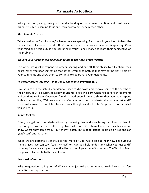asking questions, and growing in his understanding of the human condition, and it astonished his parents. Let's examine Jesus and learn how to better help each other.

# *Be a humble listener:*

Take a position of "not knowing" when others are speaking. Be curious in your heart to hear the perspectives of another's world. Don't prepare your responses as another is speaking. Clear your mind and heart out, so you can bring in your friend's story and learn their perspective on the problem.

# *Hold to your judgments long enough to get to the heart of the matter:*

Too often we quickly respond to others' sharing and cut off their ability to fully share their heart. When you hear something that bothers you or something that may not be right, hold off your comments and allow them to continue to speak. Park your judgments.

# *To answer before listening— that is folly and shame.* **Proverbs 18:1**

Give your friend the safe & confidential space to dig down and remove some of the depths of their heart. You'll be surprised at how much more you will learn when you park your judgments and continue to listen. Once your friend has had enough time to share, then you may respond with a question like, "Tell me more" or "Can you help me to understand what you just said?" There will always be time later, to share your thoughts and a helpful Scripture to correct what you've heard.

## *Listen for lies:*

Often, we get into our dysfunctions by believing lies and structuring our lives by lies. In psychology, those lies are called cognitive distortions. Christians know them as lies and we know where they come from - our enemy, Satan. But a good listener picks up on lies and can *gently* confront those lies.

When we are personally sensitive to the Word of God, we're able to hear how lies hurt our friends' lives. We can say, "Wait, What?" or "Can you help understand what you just said?" Listening for and clearing up deceptive lies can be of great benefit to others. The Word of Truth is a powerful antidote to the lies of Satan.

## **Jesus Asks Questions**

Why are questions so important? Why can't we just tell each other what to do? Here are a few benefits of asking questions: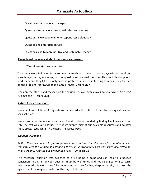Questions create an open dialogue

Questions examine our hearts, attitudes, and motives

Questions allow people time to respond less defensively

Questions help us focus on God

Questions lead to more positive and sustainable change

## **Examples of the many kinds of questions Jesus asked:**

## *The solution-focused question***.**

Thousands were following Jesus to hear his teachings - they had gone days without food and were hungry. Jesus, as always, had compassion and wanted them fed. He asked his disciples to feed them and they (like us) only saw the problems inherent in feeding so many. They focused on the problem (*that would take a year's wages*!). **Mark 5:37**

Jesus on the other hand focused on the solution. *"How many loaves do you have?" he asked. "Go and see."* – **Mark 6:38**

## *Future-focused questions*

Jesus thinks of solutions. Ask questions that consider the future – future-focused questions that seek solutions.

Jesus considered the resources at hand. The disciples responded by finding five loaves and two fish. The rest was up to Jesus. Often if we simply think of our available resources and go after those areas, Jesus can fill in the gaps. Think resources.

## *Obvious Questions*

*At this, those who heard began to go away one at a time, the older ones first, until only Jesus was left, with the woman still standing there. Jesus straightened up and asked her, "Woman, where are they? Has no one condemned you?"* – John 8:1-11

This rhetorical question was designed to drive home a point and can lead to a needed conviction. Asking an obvious question must be well-timed and not be tinged with sarcasm. Jesus wanted this woman to fully understand his love for her, despite her sin, and used the hypocrisy of the religious leaders of the day to help him.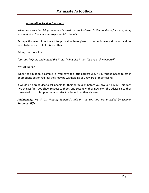# *Information Seeking Questions*

*When Jesus saw him lying there and learned that he had been in this condition for a long time, he asked him, "Do you want to get well?"* – John 5:6

Perhaps this man did not want to get well – Jesus gives us choices in every situation and we need to be respectful of this for others.

Asking questions like:

*"Can you help me understand this?"* or...*"What else?".*..or *"Can you tell me more?"*

#### WHEN TO ASK?:

When the situation is complex or you have too little background. If your friend needs to get in or emotions out or you feel they may be withholding or unaware of their feelings.

It would be a great idea to ask people for their permission before you give out advice. This does two things: first, you show respect to them, and secondly, they now own the advice since they consented to it. It is up to them to take it or leave it, as they choose.

*Additionally: Watch Dr. Timothy Sumerlin's talk on the YouTube link provided by channel Resources4life.*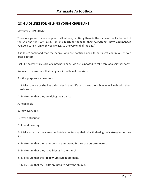# **2C. GUIDELINES FOR HELPING YOUNG CHRISTIANS**

Matthew 28:19-20 NIV

Therefore go and make disciples of all nations, baptizing them in the name of the Father and of the Son and the Holy Spirit, [20] and **teaching them to obey everything I have commanded** you. And surely I am with you always, to the very end of the age."

It is Jesus' command that the people who are baptized need to be taught continuously even after baptism.

Just like how we take care of a newborn baby, we are supposed to take care of a spiritual baby.

We need to make sure that baby is spiritually well-nourished.

For this purpose we need to;-

1. Make sure He or she has a discipler in their life who loves them & who will walk with them consistently.

2. Make sure that they are doing their basics.

A. Read Bible

B. Pray every day.

C. Pay Contribution

D. Attend meetings

3. Make sure that they are comfortable confessing their sins & sharing their struggles in their life.

4. Make sure that their questions are answered & their doubts are cleared.

5. Make sure that they have friends in the church.

6. Make sure that their **follow-up studies** are done.

7. Make sure that their gifts are used to edify the church.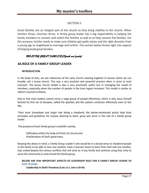# SECTION-3

Great families are an integral part of the church as they bring stability to the church. When families thrive, churches thrive. A family group leader has a big responsibility in helping the family members to connect well within the families as well as to help connect the families. For this purpose, he/she needs to make sure children get godly values and the right direction from a young age to singlehood to marriage and further. The section below throws light into aspects of helping build great families.

# *BUILDING GREAT FAMILIES(Youth and family)*

# **3A.ROLE OF A FAMILY GROUP LEADER**

#### **INTRODUCTION**

In the book of Acts, we see references of the early church meeting together in houses which we can broadly call a house church. This was a very practical and powerful practice when it came to local outreach. The house church model is also a very practically useful one in managing the needs of members, especially when the number of people in the local region increases. This model is similar to Jethro's counsel to Moses.

One or few main leaders cannot serve a large group of people effectively, which is why Jesus himself formed his first set of disciples, called the apostles and this pattern continues effectively even to this day.

Their most immediate and major role being a shepherd, the below-mentioned points help form principles and guidelines for anyone desiring to learn, grow and serve in the role of a family group leader.

The purpose of each family group is twofold: namely,

Edification within the body of Christ, his church *and* Proclamation of God's good news.

Keeping the above in mind, a Family Group Leader's role would be in a broad sense to shepherd people in the family to be able to love one another, have a learners heart to learn from God and one another, stay united despite the various conflicts that will arise as in any family and continue using that unity to serve the community in and around the family group.

## **BELOW ARE FEW IMPORTANT ASPECTS OF LEADERSHIP ROLE FOR A FAMILY GROUP LEADER TO KEEP IN MIND:**

**Leadership In God's Presence (Luke 11:1, John 5:39-40)**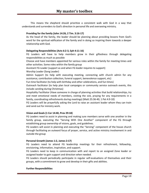This means the shepherd should prioritize a consistent walk with God in a way that understands and surrenders to God's direction in personal life and overseeing ministry.

#### **Providing for the family (John 14:26, 2 Tim. 3:16-17)**

As the head of the family, the leader should be planning about providing lessons from God's word for the spiritual edification of the family and in doing so inspiring them towards a deeper relationship with God.

#### **Delegating Responsibilities (Acts 6:2-3, Eph 4:11-16)**

FG Leaders will have to help members grow in their giftedness through delegating responsibilities as much as possible

Choose and have members appointed for various roles within the family for meeting times and other activities. Some roles within the family group

Assistant FG Leader (support as and when FG leader requires to support)

Worship Leader (Song Leader)

Admin Support (to help with executing meeting, connecting with church admin for any assistance, contribution collection, funeral support, benevolence support, etc)

Fun time facilitator (to help with birthday and other celebrations, and fun times)

Outreach facilitator (to help plan local campaigns or community service outreach events, this include caroling during Christmas)

Hospitality Facilitator (Have someone in charge of planning activities that build relationships, try and meet emotional needs of members, visiting the sick, praying for any requirements in a family, coordinating refreshments during meetings) (Matt 25:36-40, 1 Pet 4:9-10)

FG Leaders will be prayerfully asking the Lord to raise an assistant leader whom they can train and send out for ministry work.

## **Vision and Goals (1 Cor 14:40, Prov 29:18)**

FG Leaders need to assist in planning and making sure members serve with one another in the family group, executing the "Serving With One Another" component of the FG through establishing group ownership of visions, goals, and guidelines.

FG Leaders will assist in planning and executing the "Serving" component of the house church through facilitating an outward focus of prayer, service, and active ministry involvement in and outside the group

#### **Personal Growth (James 1:2, James 2:17)**

FG Leaders need to attend FG leadership meetings for their refreshment, fellowship, envisioning, information, inspiration, and support.

FG Leaders need to keep in communication with and report to an assigned Zone leader or assigned leader to gain support and direction when needed.

FG Leaders should periodically participate in regular self-evaluations of themselves and their groups, with a commitment to grow and develop in their gifts and abilities.

#### **Further Responsibilities**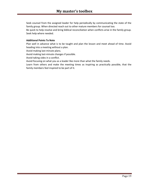Seek counsel from the assigned leader for help periodically by communicating the state of the family group. When directed reach out to other mature members for counsel too.

Be quick to help resolve and bring biblical reconciliation when conflicts arise in the family group. Seek help where needed.

#### **Additional Points To Note**

Plan well in advance what is to be taught and plan the lesson and meet ahead of time. Avoid heading into a meeting without a plan.

Avoid making last-minute plans.

Avoid making last-minute changes if possible.

Avoid taking sides in a conflict.

Avoid focusing on what you as a leader like more than what the family needs.

Learn from others and make the meeting times as inspiring as practically possible, that the family members feel inspired to be part of it.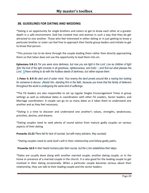# **3B. GUIDELINES FOR DATING AND WEDDING**

\*Dating is an opportunity for single brothers and sisters to get to know each other at a greater depth in a safe environment. God has created man and woman in such a way that they do get attracted to one another. Those who feel interested in either dating or in just getting to know a particular brother or sister can feel free to approach their family group leaders and initiate to get to know that person.

\*This process has to be done through the couple leading them rather than directly approaching them so that Satan does not use the opportunity to lead them into sin.

**Ephesians 5:8-11** *For you were once darkness, but now you are light in the Lord. Live as children of light*  **[9](http://biblehub.com/ephesians/5-9.htm)***(for the fruit of the light consists in all goodness, righteousness, and truth) <i>[10](http://biblehub.com/ephesians/5-10.htm)* and find out what pleases the *Lord. [11](http://biblehub.com/ephesians/5-11.htm)Have nothing to do with the fruitless deeds of darkness, but rather expose them.*

**1 Peter 5: 8-9** *Be alert and of sober mind. Your enemy the devil prowls around like a roaring lion looking for someone to devour. [9](http://biblehub.com/1_peter/5-9.htm)Resist him, standing firm in the faith, because you know that the family of believers throughout the world is undergoing the same kind of sufferings.* 

\*The FG leaders are also responsible to set up regular Singles Encouragement Times in group settings as well as individual dates in coordination with other FG Leaders, Sector leaders, and Marriage coordinators. A couple can go on as many dates as it takes them to understand one another and as they feel necessary.

\*Dating is a time to discover and understand one another's values, strengths, weaknesses, priorities, desires, and dreams.

\*Dating couples need to seek plenty of sound advice from mature godly couples on various aspects of their dating.

**Proverbs 15:22** *Plans fail for lack of counsel, but with many advisers, they succeed.*

\*Dating couples need to seek God's will in their relationship and follow godly paths.

**Proverbs 16:9** *In their hearts humans plan their course, but the LORD establishes their steps.*

\*Dates are usually done along with another married couple, another dating couple, or in the home or presence of a married couple in the church. It is also good for the leading couple to get involved in their dating occasionally. When a particular couple becomes serious about their relationship, they can talk to their leading couple and the sector leaders.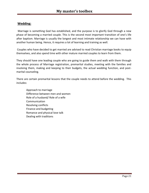# **Wedding:**

 Marriage is something God has established, and the purpose is to glorify God through a new phase of becoming a married couple. This is the second most important transition of one's life after baptism. Marriage is usually the longest and most intimate relationship we can have with another human being. Hence, it requires a lot of learning and training as well.

Couples who have decided to get married are advised to read Christian marriage books to equip themselves, and also spend time with other mature married couples to learn from them.

They should have one leading couple who are going to guide them and walk with them through the whole process of Marriage registration, premarital studies, meeting with the families and involving them, making and keeping to their budgets, the actual wedding function, and postmarital counseling.

There are certain premarital lessons that the couple needs to attend before the wedding. This includes:

Approach to marriage Difference between men and women Role of a husband/ Role of a wife Communication Resolving conflicts Finance and budgeting Romance and physical love talk Dealing with traditions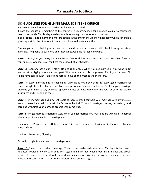# **3C. GUIDELINES FOR HELPING MARRIEDS IN THE CHURCH**

It is recommended for mature marrieds to help other marrieds.

If both the spouse are members of the church it is recommended for a mature couple to counseling them consistently. This is a big need especially for young couples for one or two years.

If one spouse is not a member, a mature couple in the church should show hospitality which can build a great rapport for the other one to understand how we love one another.

The couple who is helping other marrieds should be well acquainted with the following secrets of marriage. The goal is to build love and respect between the husband and wife.

**Secret 1:** Everyone you marry has a weakness. Only God does not have a weakness. So, if you focus on your spouse's weakness you can't get the best out of his strength.

**Secret 2:** Everyone has a dark history. No one is an angel. When you get married or you want to get married stop digging into someone's past. What matters most is the present life of your partner. Old things have passed away. Forgive and forget. Focus on the present and the future.

**Secret 3:** Every marriage has its challenges. Marriage is not a bed of roses. Every good marriage has gone through its test of blazing fire. True love proves in times of challenges. Fight for your marriage. Make up your mind to stay with your spouse in times of need. Remember the vow for better for worse. In sickness and in health be there.

**Secret 4:** Every marriage has different levels of success. Don't compare your marriage with anyone else. We can never be equal. Some will be far, some behind. To avoid marriage stresses, be patient, work hard and with time your marriage dreams shall come true.

**Secret 5:** To get married is declaring war. When you get married you must declare war against enemies of marriage. Some enemies of marriage are:

- Ignorance, Prayerlessness, Unforgiveness, Third-party influence, Stinginess, Stubbornness, Lack of love, Rudeness

Laziness, Disrespect, Cheating

Be ready to fight to maintain your marriage zone.

**Secret 6:** There is no perfect marriage. There is no ready-made marriage. Marriage is hard work. Volunteer yourself to work daily on it. Marriage is like a car that needs proper maintenance and proper service. If this is not done it will break down somewhere exposing the owner to danger or some unhealthy circumstances. Let us not be careless about our marriages.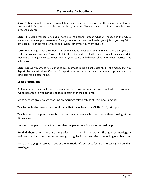**Secret 7:** God cannot give you the complete person you desire. He gives you the person in the form of raw materials for you to mold the person that you desire. This can only be achieved through prayer, love, and patience

**Secret 8:** Getting married is taking a huge risk. You cannot predict what will happen in the future. Situations may change so leave room for adjustments. Husband can lose his good job, or you may fail to have babies. All these require you to be prayerful otherwise you might divorce.

**Secret 9:** Marriage is not a contract. It is permanent. It needs total commitment. Love is the glue that sticks the couple together. Divorce start in the mind and the devil feeds the mind. Never entertain thoughts of getting a divorce. Never threaten your spouse with divorce. Choose to remain married. God hates divorce.

**Secret 10:** Every marriage has a price to pay. Marriage is like a bank account. It is the money that you deposit that you withdraw. If you don't deposit love, peace, and care into your marriage, you are not a candidate for a blissful home.

## **Some practical tips:**

As leaders, we must make sure couples are spending enough time with each other to connect. When parents are well connected it's a blessing for their children.

Make sure we give enough teaching on marriage relationships at least once a month.

**Teach couples** to resolve their conflicts on their own, based on Mt 18:15-16, principle.

**Teach them** to appreciate each other and encourage each other more than looking at the differences.

Help each couple to connect with another couple in the ministry for mutual help.

**Remind them** often there are no perfect marriages in the world. The goal of marriage is holiness than happiness. As we go through struggles in our lives, God is moulding our character.

More than trying to resolve issues of the marrieds, it's better to focus on nurturing and building marriages.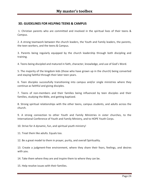# **3D. GUIDELINES FOR HELPING TEENS & CAMPUS**

1. Christian parents who are committed and involved in the spiritual lives of their teens & Campus.

2. A strong teamwork between the church leaders, the Youth and Family leaders, the parents, the teen workers, and the teens & Campus.

3. Parents being regularly equipped by the church leadership through both discipling and training.

4. Teens being discipled and matured in faith, character, knowledge, and use of God's Word.

5. The majority of the kingdom kids (those who have grown up in the church) being converted and staying faithful through their later teen years.

6. Teen disciples successfully transitioning into campus and/or single ministries where they continue as faithful and giving disciples.

7. Teens of non-members and their families being influenced by teen disciples and their families, studying the Bible, and getting baptized.

8. Strong spiritual relationships with the other teens, campus students, and adults across the church.

9. A strong connection to other Youth and Family Ministries in sister churches, to the International Conference of Youth and Family Ministry, and to HOPE Youth Corps.

10. Strive for A dynamic, fun, and spiritual youth ministry!

11. Treat them like adults. Equals too.

12. Be a great model to them in prayer, purity, and overall Spirituality.

13. Create a judgment-free environment, where they share their fears, feelings, and desires with you.

14. Take them where they are and inspire them to where they can be.

15. Help resolve issues with their families.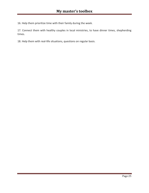16. Help them prioritize time with their family during the week.

17. Connect them with healthy couples in local ministries, to have dinner times, shepherding times.

18. Help them with real-life situations, questions on regular basis.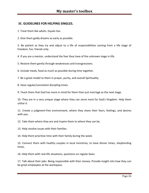# **3E. GUIDELINES FOR HELPING SINGLES.**

1. Treat them like adults. Equals too.

2. Give them godly dreams as early as possible.

3. Be patient as they try and adjust to a life of responsibilities coming from a life stage of freedom, fun, friends only.

4. If you are a mentor, understand the fear they have of the unknown stage in life.

5. Restore them gently through weaknesses and transgressions.

6. Include meals, food as much as possible during time together.

7. Be a great model to them in prayer, purity, and overall Spirituality.

8. Have regular/consistent discipling times.

9. Teach them that God has more in mind for them than just marriage as the next stage.

10. They are in a very unique stage where they can serve most for God's Kingdom. Help them utilize it.

11. Create a judgment-free environment, where they share their fears, feelings, and desires with you.

12. Take them where they are and inspire them to where they can be.

13. Help resolve issues with their families.

14. Help them prioritize time with their family during the week.

15. Connect them with healthy couples in local ministries, to have dinner times, shepherding times.

16. Help them with real-life situations, questions on regular basis.

17. Talk about their jobs. Being responsible with their money. Provide insight into how they can be great employees at the workspace.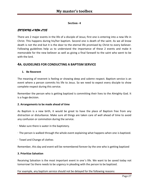# **Section -4**

# *ENTERING A NEW LIFE*

There are 2 major events in the life of a disciple of Jesus; first one is entering into a new life in Christ. This happens during his/her baptism. Second one is death of the saint. As we all know death is not the end but it is the door to the eternal life promised by Christ to every believer. Following guidelines help us to understand the importance of these 2 events and make it memorable for the new believer as well as giving a final farewell to the saint who went to be with the lord.

# **4A. GUIDELINES FOR CONDUCTING A BAPTISM SERVICE**

# **1. Be Reverent**

The meaning of reverent is feeling or showing deep and solemn respect. Baptism service is an event where a person commits his life to Jesus. So we need to expect every disciple to show complete respect during this service.

Remember the person who is getting baptized is committing their lives to the Almighty God. It is a huge decision.

## **2. Arrangements to be made ahead of time**

As Baptism is a new birth, it would be great to have the place of Baptism free from any distraction or disturbance. Make sure all things are taken care of well ahead of time to avoid any confusion or commotion during the service.

- · Make sure there is water in the baptistery.
- · The person is walked through the whole event explaining what happens when one is baptized.
- · Towel and Change of clothes

Remember, this day and event will be remembered forever by the one who is getting baptized

## **3. Prioritize Salvation**

Receiving Salvation is the most important event in one's life. We want to be saved today not tomorrow! So there needs to be urgency in pleading with the person to be baptized.

For example, any baptism service should not be delayed for the following reasons: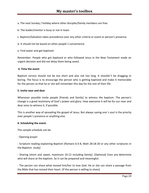a. The next Sunday / holiday where other disciples/family members are free.

b. The leader/mentor is busy or not in town

c. Baptism/Salvation takes precedence over any other criteria or event or person's presence.

d. It should not be based on other people's convenience.

e. Find water and get baptized.

Remember: People who got baptized or who followed Jesus in the New Testament made an urgent decision and did not delay them being saved.

#### **4. Time the event**

Baptism service should not be too short and also not too long. It shouldn't be dragging or boring. The focus is to encourage the person who is getting baptized and make it memorable for the person so that he or she will remember this day for the rest of their life.

#### **5. Invite near and dear**

Whenever possible invite people [friends and family] to witness the baptism. The person's change is a great testimony of God's power and glory. How awesome it will be for our near and dear ones to witness it, if possible.

This is another way of spreading the gospel of Jesus. But always saving one's soul is the priority over people's presence or anything else.

## **6. Scheduling the event.**

The sample schedule can be

- Opening prayer

- Scripture reading explaining Baptism [Romans 6:3-8, Matt 28:18-20 or any other scriptures in the Baptism study]

- Sharing (short and sweet, maximum 10-12 including family). [Optional] Even pre-determine who will share at the baptism. So it can be prepared and meaningful.

- The person can share what moved him/her to love God. He or she can share a passage from the Bible that has moved their heart. [If the person is willing to share]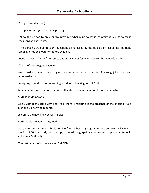- Song (I have decided )

- The person can get into the baptistery

- Allow the person to pray loudly/ pray in his/her mind to Jesus, committing his life to make Jesus Lord of his/her life.

- The person's true confession (questions being asked by the disciple or leader) can be done standing inside the water or before that also.

- Have a prayer after he/she comes out of the water (praising God for the New Life in Christ)

- Then he/she can go to change.

After he/she comes back changing clothes have or two stanzas of a song (like I've been redeemed etc.)

- A big hug from disciples welcoming him/her to the Kingdom of God.

Remember a good order of schedule will make the event memorable and meaningful.

#### **7. Make it Memorable**

Luke 15:10 In the same way, I tell you, there is rejoicing in the presence of the angels of God over one sinner who repents."

Celebrate the new life in Jesus. Rejoice.

If affordable provide snacks/food.

Make sure you arrange a bible for him/her in her language. Can be also given a kit which consists of 40 days study book, a copy of guard the gospel, invitation cards, a pocket notebook, and a pen( Optional)

(The first letters of all points spell BAPTISM)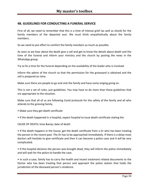# **4B. GUIDELINES FOR CONDUCTING A FUNERAL SERVICE**

First of all, we need to remember that this is a time of intense grief (as well as shock) for the family members of the departed soul. We must think empathetically about the family members.

So we need to put effort to comfort the family members as much as possible.

As soon as we hear about the death give a call and get to know the details about death and the time of the funeral and inform your ministry and the church by posting the news in the WhatsApp group.

Try to fix a time for the funeral depending on the availability of the leader who is involved.

Inform the admin of the church so that the permission for the graveyard is obtained and the cell is prepared on time.

Make sure there are people to go and visit the family and have some singing going on.

This is not a set of rules; just guidelines. You may have to do more than these guidelines that are appropriate to the situation.

Make sure that all of us are following Covid protocols for the safety of the family and all who attends to the grieving family.

- Make sure they get death certificate
- If the death happened in a hospital, expect hospital to issue death certificate stating the

CAUSE OF DEATH; time & amp; date of death

• If the death happens in the house, get the death certificate from a Dr who has been treating the person in the recent past. The Dr has to be approached immediately. If there is a delay most doctors will hesitate to give certificate and then it can become a police case and it will be very complicated.

• If the hospital declares the person was brought dead, they will inform the police immediately and will wait for the police to handle the case.

• In such a case, family has to carry the health and recent treatment related documents to the Doctor who has been treating that person and approach the police station that holds the jurisdiction of the deceased person's residence.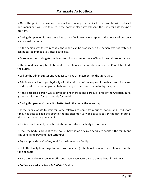• Once the police is convinced they will accompany the family to the hospital with relevant documents and will help to release the body or else they will send the body for autopsy (post mortem)

• During this pandemic time there has to be a Covid -ve or +ve report of the deceased person is also a must for burial.

• If the person was tested recently, the report can be produced, if the person was not tested, it can be tested immediately after death also.

• As soon as the family gets the death certificate, scanned copy of it and the covid report along

with the Addhaar copy has to be sent to the Church administration in case the Church has to do the burial.

• Call up the administrator and request to make arrangements in the grave yard.

• Administrator has to go physically with the printout of the copies of the death certificate and covid report to the burial ground to book the grave and direct them to dig the grave.

• If the deceased person was a covid patient there is one particular area of the Christian burial ground is allocated for such people for burial.

• During this pandemic time, it is better to do the burial the same day.

• If the family wants to wait for some relatives to come from out of station and need more time, it is best to keep the body in the hospital mortuary and take it out on the day of burial. Mortuary charges are very minimal.

• If it is a covid patient, most hospitals may not store the body in mortuary

• Once the body is brought to the house, have some disciples nearby to comfort the family and sing songs and pray and read Scriptures.

• Try and provide tea/coffee/food for the immediate family.

• Help the family to arrange freezer box if needed (if the burial is more than 5 hours from the time of death)

- Help the family to arrange a coffin and hearse van according to the budget of the family.
- Coffins are available from Rs.5,000 1.5Lakhs!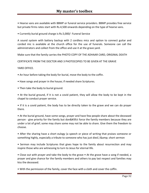• Hearse vans are available with BBMP or funeral service providers. BBMP provides free service but private firms rates start with Rs.4,500 onwards depending on the type of hearse vans.

• Currently burial ground charge is Rs.5,000/- Funeral Service

A sound system with battery backup with 2 cordless mics and option to connect guitar and corded mic is available at the church office for the use of funerals. Someone can call the administrators and collect from the office and use it at the grave yard.

Make sure that the family carries the PHOTO COPY OF THE ADHAAR CARD, ORIGINAL DEATH

CERTIFICATE FROM THE DOCTOR AND 3 PHOTOCOPIES TO BE GIVEN AT THE GRAVE

YARD OFFICE.

- An hour before taking the body for burial, move the body to the coffin.
- Have songs and prayer in the house; if needed share Scriptures.
- Then take the body to burial ground.

• At the burial ground, if it is not a covid patient, they will allow the body to be kept in the chapel to conduct prayer service.

• If it is a covid patient, the body has to be directly taken to the grave and we can do prayer there.

• At the burial ground, have some songs, prayer and have few people share about the deceased person - give priority for the family but don't force the family members because they are under a lot of grief; some may share some may not be able to share. Give them the freedom to choose.

• After the sharing have a short eulogy (a speech or piece of writing that praises someone or something highly, especially a tribute to someone who has just died.) & amp; short sermon

• Sermon may include Scriptures that gives hope to the family about resurrection and may inspire those who are witnessing to turn to Jesus for eternal life.

• Close out with prayer and take the body to the grave • At the grave have a song if needed, a prayer and give chance for the family members and others to pay last respect and families may kiss the deceased.

• With the permission of the family, cover the face with a cloth and cover the coffin.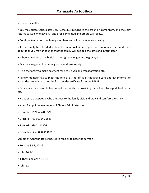• Lower the coffin.

• You may quote Ecclesiastes 12:7 "..the dust returns to the ground it came from, and the spirit returns to God who gave it." and drop some mud and others will follow.

• Continue to comfort the family members and all those who are grieving.

• If the family has decided a date for memorial service, you may announce then and there about it or you may announce that the family will decided the date and inform later.

- Whoever conducts the burial has to sign the ledger at the graveyard.
- Pay the charges at the burial ground and take receipt.
- Help the family to make payment for hearse van and transportation etc.

• Family member has to meet the official at the office of the grave yard and get information about the procedure to get the final death certificate from the BBMP.

• Do as much as possible to comfort the family by providing them food, transport back home etc.

• Make sure that people who are close to the family visit and pray and comfort the family.

Names & amp; Phone numbers of Church Administrators

- Devaraj: +91 93434 09779
- Grackraj: +91 99164 35589
- Raju: +91 98441 21806
- Office landline: 080-41467118

Sample of Appropriate Scriptures to read or to base the sermon

- Romans 8:35, 37-39
- John 14:1-3
- 1 Thessalonians 4:13-18
- John 11